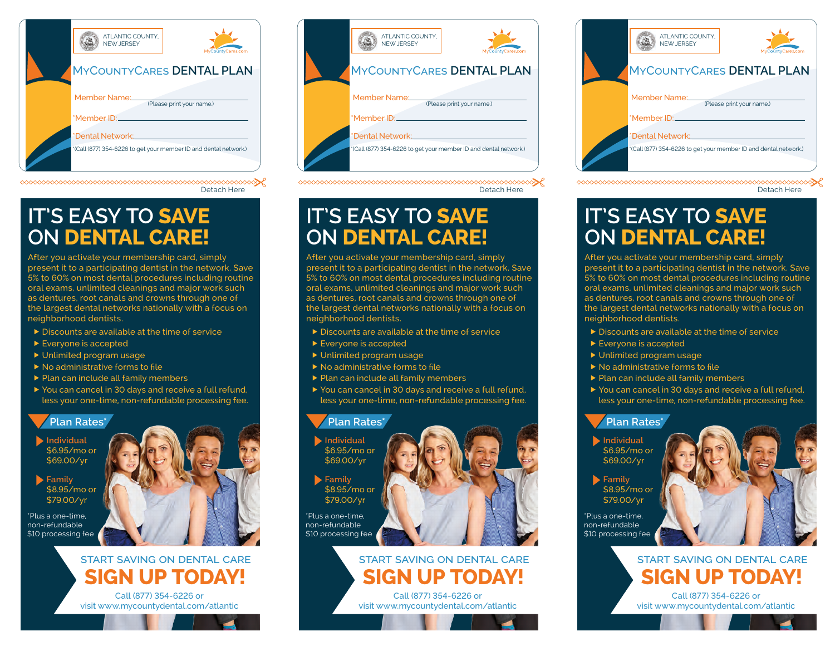| ATLANTIC COUNTY.<br>NFW JFRSFY<br>MyCountyCares.com<br><b>MYCOUNTYCARES DENTAL PLAN</b> |
|-----------------------------------------------------------------------------------------|
| Member Name:<br>(Please print your name.)<br>*Member ID:                                |
| *Dental Network:<br>*(Call (877) 354-6226 to get your member ID and dental network.)    |

Detach Here

# **IT'S EASY TO SAVE ON DENTAL CARE!**

After you activate your membership card, simply present it to a participating dentist in the network. Save 5% to 60% on most dental procedures including routine oral exams, unlimited cleanings and major work such as dentures, root canals and crowns through one of the largest dental networks nationally with a focus on neighborhood dentists.

- $\triangleright$  Discounts are available at the time of service
- ▶ Everyone is accepted
- Unlimited program usage
- $\blacktriangleright$  No administrative forms to file
- $\blacktriangleright$  Plan can include all family members
- ▶ You can cancel in 30 days and receive a full refund, less your one-time, non-refundable processing fee.

#### **Plan Rates\***

**Individual** \$6.95/mo or \$69.00/yr

**Family** \$8.95/mo or \$79.00/yr

\*Plus a one-time, non-refundable \$10 processing fee



# **SIGN UP TODAY!** START SAVING ON DENTAL CARE

Call (877) 354-6226 or visit www.mycountydental.com/atlantic

| ATLANTIC COUNTY.<br><b>NFW JFRSFY</b><br><b>MYCOUNTYCARES DENTAL PLAN</b>                                                                        | MyCountyCares.com |
|--------------------------------------------------------------------------------------------------------------------------------------------------|-------------------|
| Member Name:<br>(Please print your name.)<br>*Member ID:<br>*Dental Network:<br>*(Call (877) 354-6226 to get your member ID and dental network.) |                   |



# **IT'S EASY TO SAVE ON DENTAL CARE!**

After you activate your membership card, simply present it to a participating dentist in the network. Save 5% to 60% on most dental procedures including routine oral exams, unlimited cleanings and major work such as dentures, root canals and crowns through one of the largest dental networks nationally with a focus on neighborhood dentists.

- Discounts are available at the time of service
- ▶ Everyone is accepted
- ▶ Unlimited program usage
- $\blacktriangleright$  No administrative forms to file
- $\blacktriangleright$  Plan can include all family members
- ▶ You can cancel in 30 days and receive a full refund, less your one-time, non-refundable processing fee.

#### **Plan Rates\***

**Individual** \$6.95/mo or \$69.00/yr

**Family** \$8.95/mo or \$79.00/yr

\*Plus a one-time, non-refundable \$10 processing fee

# **SIGN UP TODAY!** START SAVING ON DENTAL CARE

Call (877) 354-6226 or visit www.mycountydental.com/atlantic

| ATLANTIC COUNTY.<br>NFW JFRSFY<br><b>MYCOUNTYCARES DENTAL PLAN</b>                   | MyCountyCares.com |  |
|--------------------------------------------------------------------------------------|-------------------|--|
| Member Name:<br>(Please print your name.)<br>*Member ID:                             |                   |  |
| *Dental Network:<br>*(Call (877) 354-6226 to get your member ID and dental network.) |                   |  |

Detach Here

# **IT'S EASY TO SAVE ON DENTAL CARE!**

After you activate your membership card, simply present it to a participating dentist in the network. Save 5% to 60% on most dental procedures including routine oral exams, unlimited cleanings and major work such as dentures, root canals and crowns through one of the largest dental networks nationally with a focus on neighborhood dentists.

- Discounts are available at the time of service
- ▶ Everyone is accepted
- ▶ Unlimited program usage
- $\blacktriangleright$  No administrative forms to file
- $\blacktriangleright$  Plan can include all family members
- ▶ You can cancel in 30 days and receive a full refund, less your one-time, non-refundable processing fee.

#### **Plan Rates\***

- **Individual** \$6.95/mo or \$69.00/yr
- **Family** \$8.95/mo or \$79.00/yr

\*Plus a one-time, non-refundable \$10 processing fee



visit www.mycountydental.com/atlantic